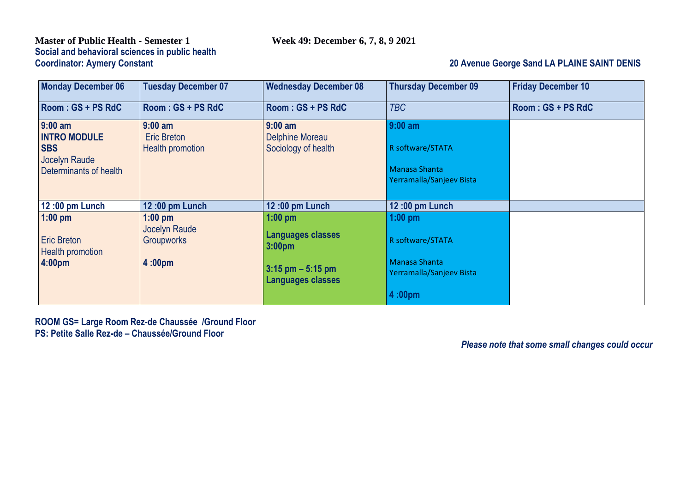# **Master of Public Health - Semester 1 Week 49: December 6, 7, 8, 9 2021 Social and behavioral sciences in public health**

## **20 Avenue George Sand LA PLAINE SAINT DENIS**

| <b>Monday December 06</b>                                                                 | <b>Tuesday December 07</b>                                 | <b>Wednesday December 08</b>                        | <b>Thursday December 09</b>                                                       | <b>Friday December 10</b> |
|-------------------------------------------------------------------------------------------|------------------------------------------------------------|-----------------------------------------------------|-----------------------------------------------------------------------------------|---------------------------|
| Room: GS + PS RdC                                                                         | Room: GS + PS RdC                                          | Room: GS + PS RdC                                   | <b>TBC</b>                                                                        | Room: GS + PS RdC         |
| $9:00$ am<br><b>INTRO MODULE</b><br><b>SBS</b><br>Jocelyn Raude<br>Determinants of health | $9:00$ am<br><b>Eric Breton</b><br><b>Health promotion</b> | $9:00$ am<br>Delphine Moreau<br>Sociology of health | $9:00$ am<br>R software/STATA<br><b>Manasa Shanta</b><br>Yerramalla/Sanjeev Bista |                           |
| 12:00 pm Lunch                                                                            | 12:00 pm Lunch                                             | 12:00 pm Lunch                                      | 12:00 pm Lunch                                                                    |                           |
| $1:00$ pm                                                                                 | $1:00$ pm                                                  | $1:00$ pm                                           | $1:00$ pm                                                                         |                           |
| <b>Eric Breton</b><br>Health promotion                                                    | <b>Jocelyn Raude</b><br>Groupworks                         | <b>Languages classes</b><br>3:00pm                  | R software/STATA                                                                  |                           |
| 4:00pm                                                                                    | 4:00 <sub>pm</sub>                                         | $3:15$ pm $-5:15$ pm<br><b>Languages classes</b>    | <b>Manasa Shanta</b><br>Yerramalla/Sanjeev Bista                                  |                           |
|                                                                                           |                                                            |                                                     | 4:00 <sub>pm</sub>                                                                |                           |

**ROOM GS= Large Room Rez-de Chaussée /Ground Floor PS: Petite Salle Rez-de – Chaussée/Ground Floor**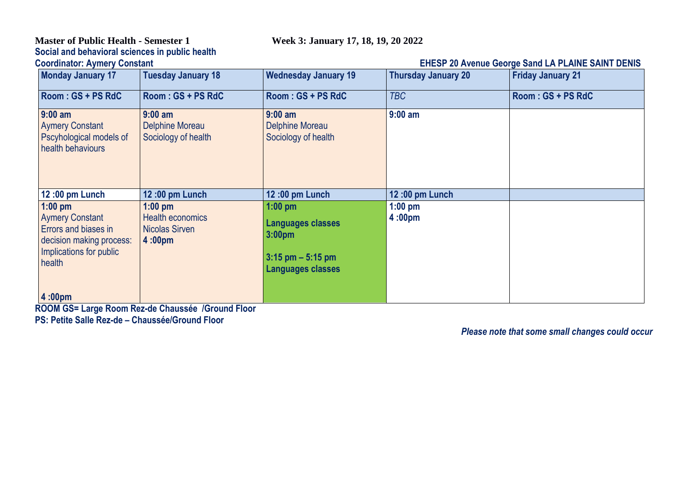## **Master of Public Health - Semester 1 Week 3: January 17, 18, 19, 20 2022 Social and behavioral sciences in public health**

## **CHESP 20 Avenue George Sand LA PLAINE SAINT DENIS**

| <b>Monday January 17</b>                                                                                                     | <b>Tuesday January 18</b>                                                    | <b>Wednesday January 19</b>                                                                                     | <b>Thursday January 20</b> | <b>Friday January 21</b> |
|------------------------------------------------------------------------------------------------------------------------------|------------------------------------------------------------------------------|-----------------------------------------------------------------------------------------------------------------|----------------------------|--------------------------|
| Room: GS + PS RdC                                                                                                            | Room: GS + PS RdC                                                            | Room: GS + PS RdC                                                                                               | <b>TBC</b>                 | Room: GS + PS RdC        |
| $9:00$ am<br><b>Aymery Constant</b><br>Pscyhological models of<br>health behaviours                                          | $9:00$ am<br>Delphine Moreau<br>Sociology of health                          | $9:00$ am<br><b>Delphine Moreau</b><br>Sociology of health                                                      | $9:00$ am                  |                          |
| 12:00 pm Lunch                                                                                                               | 12:00 pm Lunch                                                               | 12:00 pm Lunch                                                                                                  | 12:00 pm Lunch             |                          |
| $1:00$ pm<br><b>Aymery Constant</b><br>Errors and biases in<br>decision making process:<br>Implications for public<br>health | $1:00$ pm<br>Health economics<br><b>Nicolas Sirven</b><br>4:00 <sub>pm</sub> | $1:00$ pm<br><b>Languages classes</b><br>3:00 <sub>pm</sub><br>$3:15$ pm $-5:15$ pm<br><b>Languages classes</b> | $1:00$ pm<br>4:00pm        |                          |
| $ 4:00$ pm                                                                                                                   |                                                                              |                                                                                                                 |                            |                          |

**ROOM GS= Large Room Rez-de Chaussée /Ground Floor PS: Petite Salle Rez-de – Chaussée/Ground Floor**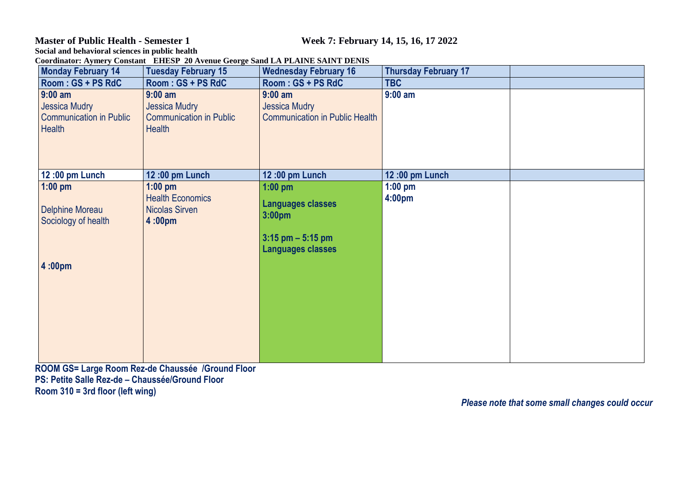**Master of Public Health - Semester 1 Week 7: February 14, 15, 16, 17 2022**

**Social and behavioral sciences in public health Coordinator: Aymery Constant EHESP 20 Avenue George Sand LA PLAINE SAINT DENIS**

| <b>Monday February 14</b>                                                            | <b>Tuesday February 15</b>                                                           | <b>Wednesday February 16</b>                                                                                    | <b>Thursday February 17</b>     |  |
|--------------------------------------------------------------------------------------|--------------------------------------------------------------------------------------|-----------------------------------------------------------------------------------------------------------------|---------------------------------|--|
| Room: GS + PS RdC                                                                    | Room: GS + PS RdC                                                                    | Room: GS + PS RdC                                                                                               | <b>TBC</b>                      |  |
| $9:00$ am<br><b>Jessica Mudry</b><br><b>Communication in Public</b><br><b>Health</b> | $9:00$ am<br><b>Jessica Mudry</b><br><b>Communication in Public</b><br><b>Health</b> | $9:00$ am<br><b>Jessica Mudry</b><br><b>Communication in Public Health</b>                                      | $9:00$ am                       |  |
| 12:00 pm Lunch                                                                       | 12:00 pm Lunch                                                                       | 12:00 pm Lunch                                                                                                  | 12:00 pm Lunch                  |  |
| $1:00$ pm<br><b>Delphine Moreau</b><br>Sociology of health<br>4:00pm                 | $1:00$ pm<br><b>Health Economics</b><br><b>Nicolas Sirven</b><br>4:00pm              | $1:00$ pm<br><b>Languages classes</b><br>3:00 <sub>pm</sub><br>$3:15$ pm $-5:15$ pm<br><b>Languages classes</b> | $1:00$ pm<br>4:00 <sub>pm</sub> |  |

**ROOM GS= Large Room Rez-de Chaussée /Ground Floor PS: Petite Salle Rez-de – Chaussée/Ground Floor Room 310 = 3rd floor (left wing)**